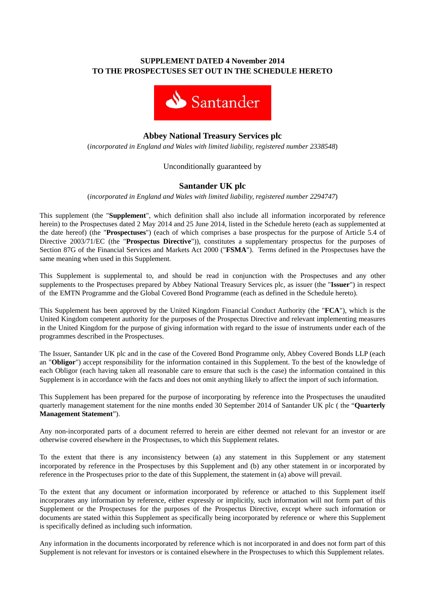## **SUPPLEMENT DATED 4 November 2014 TO THE PROSPECTUSES SET OUT IN THE SCHEDULE HERETO**



# **Abbey National Treasury Services plc**

(*incorporated in England and Wales with limited liability, registered number 2338548*)

## Unconditionally guaranteed by

## **Santander UK plc**

(*incorporated in England and Wales with limited liability, registered number 2294747*)

This supplement (the "**Supplement**", which definition shall also include all information incorporated by reference herein) to the Prospectuses dated 2 May 2014 and 25 June 2014, listed in the Schedule hereto (each as supplemented at the date hereof) (the "**Prospectuses**") (each of which comprises a base prospectus for the purpose of Article 5.4 of Directive 2003/71/EC (the "**Prospectus Directive**")), constitutes a supplementary prospectus for the purposes of Section 87G of the Financial Services and Markets Act 2000 ("**FSMA**"). Terms defined in the Prospectuses have the same meaning when used in this Supplement.

This Supplement is supplemental to, and should be read in conjunction with the Prospectuses and any other supplements to the Prospectuses prepared by Abbey National Treasury Services plc, as issuer (the "**Issuer**") in respect of the EMTN Programme and the Global Covered Bond Programme (each as defined in the Schedule hereto).

This Supplement has been approved by the United Kingdom Financial Conduct Authority (the "**FCA**"), which is the United Kingdom competent authority for the purposes of the Prospectus Directive and relevant implementing measures in the United Kingdom for the purpose of giving information with regard to the issue of instruments under each of the programmes described in the Prospectuses.

The Issuer, Santander UK plc and in the case of the Covered Bond Programme only, Abbey Covered Bonds LLP (each an "**Obligor**") accept responsibility for the information contained in this Supplement. To the best of the knowledge of each Obligor (each having taken all reasonable care to ensure that such is the case) the information contained in this Supplement is in accordance with the facts and does not omit anything likely to affect the import of such information.

This Supplement has been prepared for the purpose of incorporating by reference into the Prospectuses the unaudited quarterly management statement for the nine months ended 30 September 2014 of Santander UK plc ( the "**Quarterly Management Statement**").

Any non-incorporated parts of a document referred to herein are either deemed not relevant for an investor or are otherwise covered elsewhere in the Prospectuses, to which this Supplement relates.

To the extent that there is any inconsistency between (a) any statement in this Supplement or any statement incorporated by reference in the Prospectuses by this Supplement and (b) any other statement in or incorporated by reference in the Prospectuses prior to the date of this Supplement, the statement in (a) above will prevail.

To the extent that any document or information incorporated by reference or attached to this Supplement itself incorporates any information by reference, either expressly or implicitly, such information will not form part of this Supplement or the Prospectuses for the purposes of the Prospectus Directive, except where such information or documents are stated within this Supplement as specifically being incorporated by reference or where this Supplement is specifically defined as including such information.

Any information in the documents incorporated by reference which is not incorporated in and does not form part of this Supplement is not relevant for investors or is contained elsewhere in the Prospectuses to which this Supplement relates.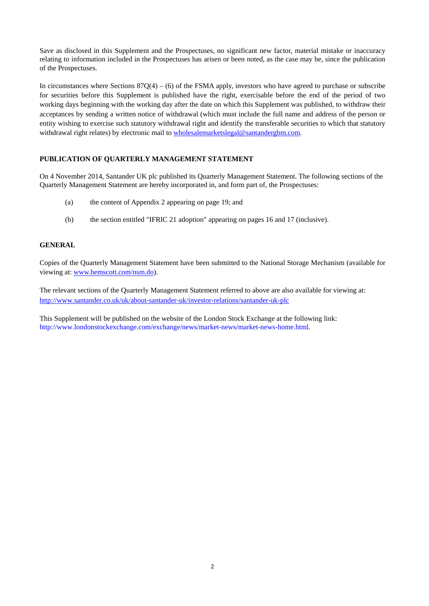Save as disclosed in this Supplement and the Prospectuses, no significant new factor, material mistake or inaccuracy relating to information included in the Prospectuses has arisen or been noted, as the case may be, since the publication of the Prospectuses.

In circumstances where Sections  $87Q(4) - (6)$  of the FSMA apply, investors who have agreed to purchase or subscribe for securities before this Supplement is published have the right, exercisable before the end of the period of two working days beginning with the working day after the date on which this Supplement was published, to withdraw their acceptances by sending a written notice of withdrawal (which must include the full name and address of the person or entity wishing to exercise such statutory withdrawal right and identify the transferable securities to which that statutory withdrawal right relates) by electronic mail to wholesalemarketslegal@santandergbm.com.

## **PUBLICATION OF QUARTERLY MANAGEMENT STATEMENT**

On 4 November 2014, Santander UK plc published its Quarterly Management Statement. The following sections of the Quarterly Management Statement are hereby incorporated in, and form part of, the Prospectuses:

- (a) the content of Appendix 2 appearing on page 19; and
- (b) the section entitled "IFRIC 21 adoption" appearing on pages 16 and 17 (inclusive).

#### **GENERAL**

Copies of the Quarterly Management Statement have been submitted to the National Storage Mechanism (available for viewing at: www.hemscott.com/nsm.do).

The relevant sections of the Quarterly Management Statement referred to above are also available for viewing at: http://www.santander.co.uk/uk/about-santander-uk/investor-relations/santander-uk-plc

This Supplement will be published on the website of the London Stock Exchange at the following link: http://www.londonstockexchange.com/exchange/news/market-news/market-news-home.html.